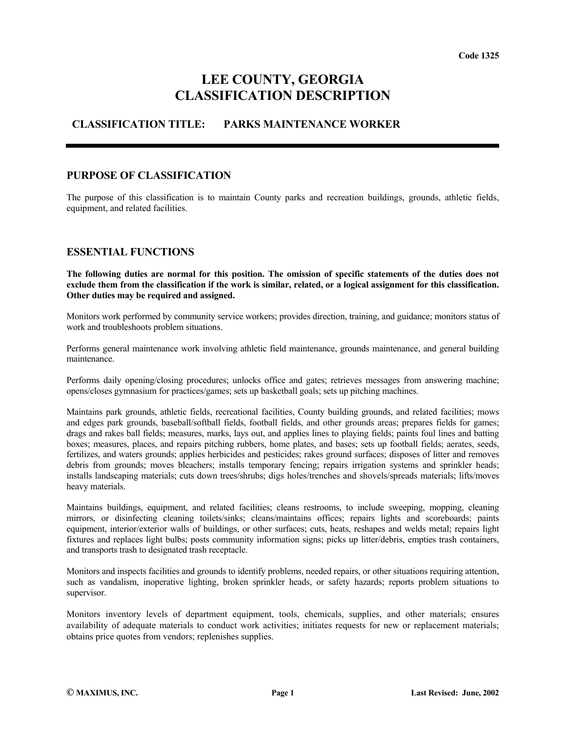# **LEE COUNTY, GEORGIA CLASSIFICATION DESCRIPTION**

## **CLASSIFICATION TITLE: PARKS MAINTENANCE WORKER**

#### **PURPOSE OF CLASSIFICATION**

The purpose of this classification is to maintain County parks and recreation buildings, grounds, athletic fields, equipment, and related facilities.

### **ESSENTIAL FUNCTIONS**

**The following duties are normal for this position. The omission of specific statements of the duties does not exclude them from the classification if the work is similar, related, or a logical assignment for this classification. Other duties may be required and assigned.**

Monitors work performed by community service workers; provides direction, training, and guidance; monitors status of work and troubleshoots problem situations.

Performs general maintenance work involving athletic field maintenance, grounds maintenance, and general building maintenance.

Performs daily opening/closing procedures; unlocks office and gates; retrieves messages from answering machine; opens/closes gymnasium for practices/games; sets up basketball goals; sets up pitching machines.

Maintains park grounds, athletic fields, recreational facilities, County building grounds, and related facilities; mows and edges park grounds, baseball/softball fields, football fields, and other grounds areas; prepares fields for games; drags and rakes ball fields; measures, marks, lays out, and applies lines to playing fields; paints foul lines and batting boxes; measures, places, and repairs pitching rubbers, home plates, and bases; sets up football fields; aerates, seeds, fertilizes, and waters grounds; applies herbicides and pesticides; rakes ground surfaces; disposes of litter and removes debris from grounds; moves bleachers; installs temporary fencing; repairs irrigation systems and sprinkler heads; installs landscaping materials; cuts down trees/shrubs; digs holes/trenches and shovels/spreads materials; lifts/moves heavy materials.

Maintains buildings, equipment, and related facilities; cleans restrooms, to include sweeping, mopping, cleaning mirrors, or disinfecting cleaning toilets/sinks; cleans/maintains offices; repairs lights and scoreboards; paints equipment, interior/exterior walls of buildings, or other surfaces; cuts, heats, reshapes and welds metal; repairs light fixtures and replaces light bulbs; posts community information signs; picks up litter/debris, empties trash containers, and transports trash to designated trash receptacle.

Monitors and inspects facilities and grounds to identify problems, needed repairs, or other situations requiring attention, such as vandalism, inoperative lighting, broken sprinkler heads, or safety hazards; reports problem situations to supervisor.

Monitors inventory levels of department equipment, tools, chemicals, supplies, and other materials; ensures availability of adequate materials to conduct work activities; initiates requests for new or replacement materials; obtains price quotes from vendors; replenishes supplies.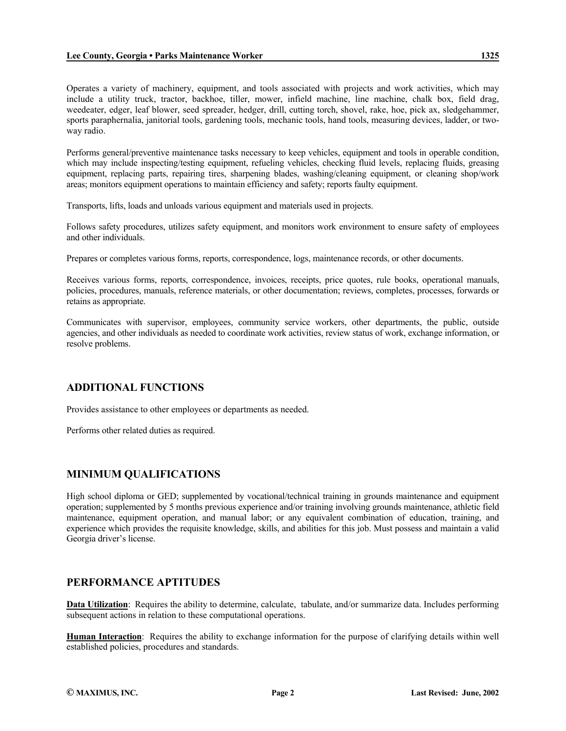Operates a variety of machinery, equipment, and tools associated with projects and work activities, which may include a utility truck, tractor, backhoe, tiller, mower, infield machine, line machine, chalk box, field drag, weedeater, edger, leaf blower, seed spreader, hedger, drill, cutting torch, shovel, rake, hoe, pick ax, sledgehammer, sports paraphernalia, janitorial tools, gardening tools, mechanic tools, hand tools, measuring devices, ladder, or twoway radio.

Performs general/preventive maintenance tasks necessary to keep vehicles, equipment and tools in operable condition, which may include inspecting/testing equipment, refueling vehicles, checking fluid levels, replacing fluids, greasing equipment, replacing parts, repairing tires, sharpening blades, washing/cleaning equipment, or cleaning shop/work areas; monitors equipment operations to maintain efficiency and safety; reports faulty equipment.

Transports, lifts, loads and unloads various equipment and materials used in projects.

Follows safety procedures, utilizes safety equipment, and monitors work environment to ensure safety of employees and other individuals.

Prepares or completes various forms, reports, correspondence, logs, maintenance records, or other documents.

Receives various forms, reports, correspondence, invoices, receipts, price quotes, rule books, operational manuals, policies, procedures, manuals, reference materials, or other documentation; reviews, completes, processes, forwards or retains as appropriate.

Communicates with supervisor, employees, community service workers, other departments, the public, outside agencies, and other individuals as needed to coordinate work activities, review status of work, exchange information, or resolve problems.

## **ADDITIONAL FUNCTIONS**

Provides assistance to other employees or departments as needed.

Performs other related duties as required.

## **MINIMUM QUALIFICATIONS**

High school diploma or GED; supplemented by vocational/technical training in grounds maintenance and equipment operation; supplemented by 5 months previous experience and/or training involving grounds maintenance, athletic field maintenance, equipment operation, and manual labor; or any equivalent combination of education, training, and experience which provides the requisite knowledge, skills, and abilities for this job. Must possess and maintain a valid Georgia driver's license.

#### **PERFORMANCE APTITUDES**

**Data Utilization**: Requires the ability to determine, calculate, tabulate, and/or summarize data. Includes performing subsequent actions in relation to these computational operations.

**Human Interaction**: Requires the ability to exchange information for the purpose of clarifying details within well established policies, procedures and standards.